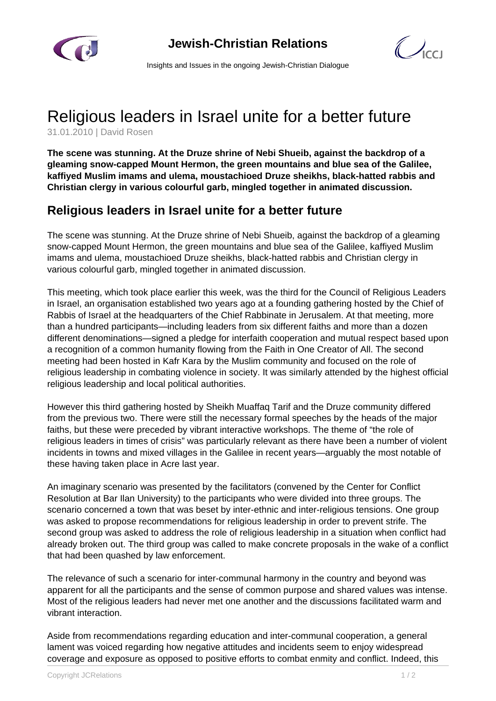



Insights and Issues in the ongoing Jewish-Christian Dialogue

## Religious leaders in Israel unite for a better future

31.01.2010 | David Rosen

**The scene was stunning. At the Druze shrine of Nebi Shueib, against the backdrop of a gleaming snow-capped Mount Hermon, the green mountains and blue sea of the Galilee, kaffiyed Muslim imams and ulema, moustachioed Druze sheikhs, black-hatted rabbis and Christian clergy in various colourful garb, mingled together in animated discussion.**

## **Religious leaders in Israel unite for a better future**

The scene was stunning. At the Druze shrine of Nebi Shueib, against the backdrop of a gleaming snow-capped Mount Hermon, the green mountains and blue sea of the Galilee, kaffiyed Muslim imams and ulema, moustachioed Druze sheikhs, black-hatted rabbis and Christian clergy in various colourful garb, mingled together in animated discussion.

This meeting, which took place earlier this week, was the third for the Council of Religious Leaders in Israel, an organisation established two years ago at a founding gathering hosted by the Chief of Rabbis of Israel at the headquarters of the Chief Rabbinate in Jerusalem. At that meeting, more than a hundred participants—including leaders from six different faiths and more than a dozen different denominations—signed a pledge for interfaith cooperation and mutual respect based upon a recognition of a common humanity flowing from the Faith in One Creator of All. The second meeting had been hosted in Kafr Kara by the Muslim community and focused on the role of religious leadership in combating violence in society. It was similarly attended by the highest official religious leadership and local political authorities.

However this third gathering hosted by Sheikh Muaffaq Tarif and the Druze community differed from the previous two. There were still the necessary formal speeches by the heads of the major faiths, but these were preceded by vibrant interactive workshops. The theme of "the role of religious leaders in times of crisis" was particularly relevant as there have been a number of violent incidents in towns and mixed villages in the Galilee in recent years—arguably the most notable of these having taken place in Acre last year.

An imaginary scenario was presented by the facilitators (convened by the Center for Conflict Resolution at Bar Ilan University) to the participants who were divided into three groups. The scenario concerned a town that was beset by inter-ethnic and inter-religious tensions. One group was asked to propose recommendations for religious leadership in order to prevent strife. The second group was asked to address the role of religious leadership in a situation when conflict had already broken out. The third group was called to make concrete proposals in the wake of a conflict that had been quashed by law enforcement.

The relevance of such a scenario for inter-communal harmony in the country and beyond was apparent for all the participants and the sense of common purpose and shared values was intense. Most of the religious leaders had never met one another and the discussions facilitated warm and vibrant interaction.

Aside from recommendations regarding education and inter-communal cooperation, a general lament was voiced regarding how negative attitudes and incidents seem to enjoy widespread coverage and exposure as opposed to positive efforts to combat enmity and conflict. Indeed, this